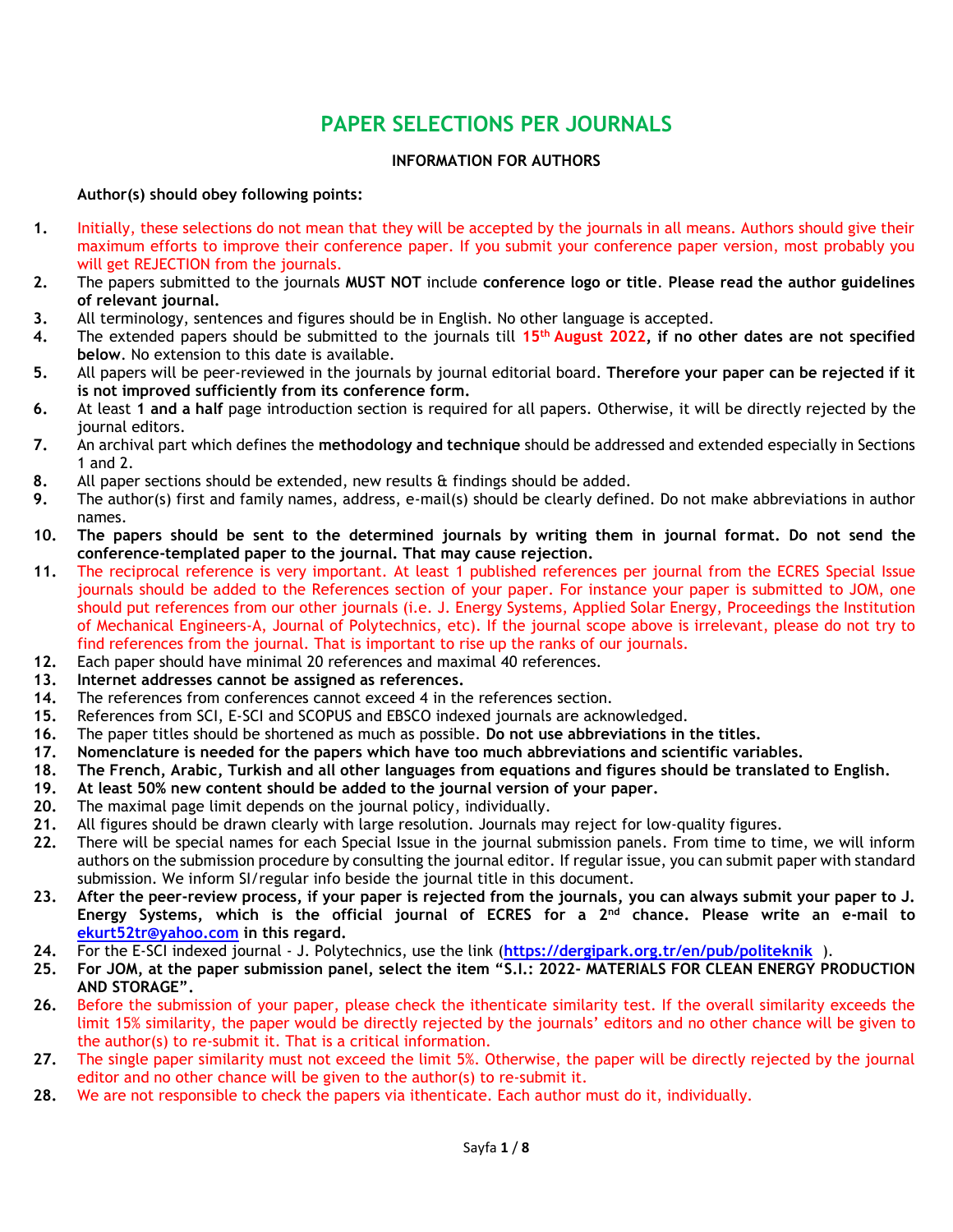# **PAPER SELECTIONS PER JOURNALS**

#### **INFORMATION FOR AUTHORS**

#### **Author(s) should obey following points:**

- **1.** Initially, these selections do not mean that they will be accepted by the journals in all means. Authors should give their maximum efforts to improve their conference paper. If you submit your conference paper version, most probably you will get REJECTION from the journals.
- **2.** The papers submitted to the journals **MUST NOT** include **conference logo or title**. **Please read the author guidelines of relevant journal.**
- **3.** All terminology, sentences and figures should be in English. No other language is accepted.
- **4.** The extended papers should be submitted to the journals till **15 th August 2022, if no other dates are not specified below**. No extension to this date is available.
- **5.** All papers will be peer-reviewed in the journals by journal editorial board. **Therefore your paper can be rejected if it is not improved sufficiently from its conference form.**
- **6.** At least **1 and a half** page introduction section is required for all papers. Otherwise, it will be directly rejected by the journal editors.
- **7.** An archival part which defines the **methodology and technique** should be addressed and extended especially in Sections 1 and 2.
- **8.** All paper sections should be extended, new results & findings should be added.
- **9.** The author(s) first and family names, address, e-mail(s) should be clearly defined. Do not make abbreviations in author names.
- **10. The papers should be sent to the determined journals by writing them in journal format. Do not send the conference-templated paper to the journal. That may cause rejection.**
- **11.** The reciprocal reference is very important. At least 1 published references per journal from the ECRES Special Issue journals should be added to the References section of your paper. For instance your paper is submitted to JOM, one should put references from our other journals (i.e. J. Energy Systems, Applied Solar Energy, [Proceedings the Institution](https://uk.sagepub.com/en-gb/eur/journal/proceedings-institution-mechanical-engineers-part-journal-power-and-energy)  [of Mechanical Engineers-A,](https://uk.sagepub.com/en-gb/eur/journal/proceedings-institution-mechanical-engineers-part-journal-power-and-energy) Journal of Polytechnics, etc). If the journal scope above is irrelevant, please do not try to find references from the journal. That is important to rise up the ranks of our journals.
- **12.** Each paper should have minimal 20 references and maximal 40 references.
- **13. Internet addresses cannot be assigned as references.**
- **14.** The references from conferences cannot exceed 4 in the references section.
- **15.** References from SCI, E-SCI and SCOPUS and EBSCO indexed journals are acknowledged.
- **16.** The paper titles should be shortened as much as possible. **Do not use abbreviations in the titles.**
- **17. Nomenclature is needed for the papers which have too much abbreviations and scientific variables.**
- **18. The French, Arabic, Turkish and all other languages from equations and figures should be translated to English.**
- **19. At least 50% new content should be added to the journal version of your paper.**
- **20.** The maximal page limit depends on the journal policy, individually.
- **21.** All figures should be drawn clearly with large resolution. Journals may reject for low-quality figures.
- **22.** There will be special names for each Special Issue in the journal submission panels*.* From time to time, we will inform authors on the submission procedure by consulting the journal editor. If regular issue, you can submit paper with standard submission. We inform SI/regular info beside the journal title in this document.
- **23. After the peer-review process, if your paper is rejected from the journals, you can always submit your paper to J. Energy Systems, which is the official journal of ECRES for a 2nd chance. Please write an e-mail to [ekurt52tr@yahoo.com](mailto:ekurt52tr@yahoo.com) in this regard.**
- **24.** For the E-SCI indexed journal J. Polytechnics, use the link (**<https://dergipark.org.tr/en/pub/politeknik>** ).
- **25. For JOM, at the paper submission panel, select the item "S.I.: 2022- MATERIALS FOR CLEAN ENERGY PRODUCTION AND STORAGE".**
- **26.** Before the submission of your paper, please check the ithenticate similarity test. If the overall similarity exceeds the limit 15% similarity, the paper would be directly rejected by the journals' editors and no other chance will be given to the author(s) to re-submit it. That is a critical information.
- **27.** The single paper similarity must not exceed the limit 5%. Otherwise, the paper will be directly rejected by the journal editor and no other chance will be given to the author(s) to re-submit it.
- **28.** We are not responsible to check the papers via ithenticate. Each author must do it, individually.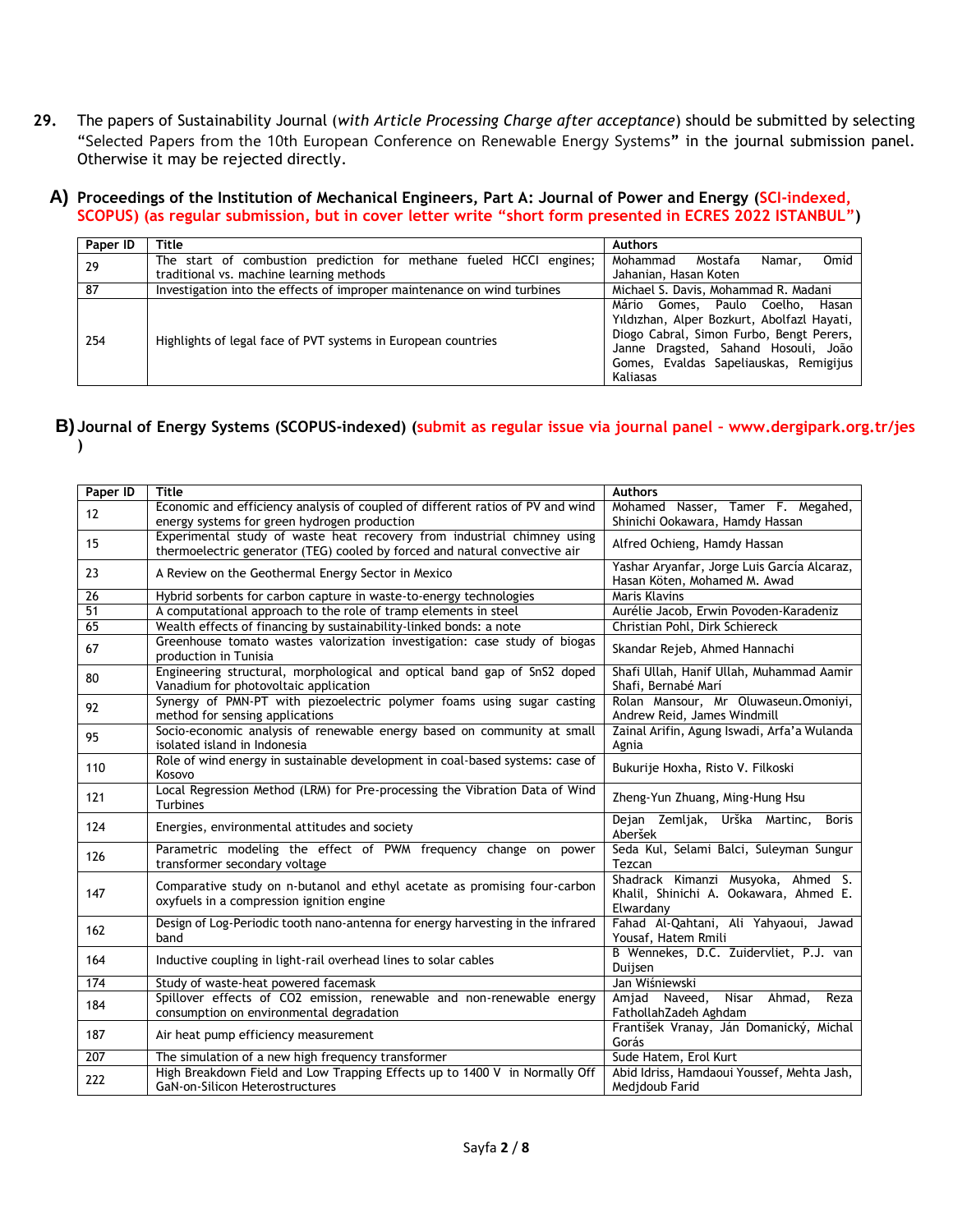- **29.** The papers of Sustainability Journal (*with Article Processing Charge after acceptance*) should be submitted by selecting "Selected Papers from the 10th European Conference on Renewable Energy Systems**"** in the journal submission panel. Otherwise it may be rejected directly.
	- **A) Proceedings of the Institution of Mechanical Engineers, Part A: Journal of Power and Energy (SCI-indexed, SCOPUS) (as regular submission, but in cover letter write "short form presented in ECRES 2022 ISTANBUL")**

| Paper ID | Title                                                                   | <b>Authors</b>                                                                                                                                                                                                           |
|----------|-------------------------------------------------------------------------|--------------------------------------------------------------------------------------------------------------------------------------------------------------------------------------------------------------------------|
| 29       | The start of combustion prediction for methane fueled HCCI engines;     | Omid<br>Mohammad<br>Mostafa<br>Namar.                                                                                                                                                                                    |
|          | traditional vs. machine learning methods                                | Jahanian, Hasan Koten                                                                                                                                                                                                    |
| 87       | Investigation into the effects of improper maintenance on wind turbines | Michael S. Davis, Mohammad R. Madani                                                                                                                                                                                     |
| 254      | Highlights of legal face of PVT systems in European countries           | Mário Gomes, Paulo Coelho, Hasan<br>Yıldızhan, Alper Bozkurt, Abolfazl Hayati,<br>Diogo Cabral, Simon Furbo, Bengt Perers,<br>Janne Dragsted, Sahand Hosouli, João<br>Gomes, Evaldas Sapeliauskas, Remigijus<br>Kaliasas |

#### **B) Journal of Energy Systems (SCOPUS-indexed) (submit as regular issue via journal panel – www.dergipark.org.tr/jes )**

| Paper ID | <b>Title</b>                                                                                                                                          | <b>Authors</b>                                                                            |
|----------|-------------------------------------------------------------------------------------------------------------------------------------------------------|-------------------------------------------------------------------------------------------|
| 12       | Economic and efficiency analysis of coupled of different ratios of PV and wind                                                                        | Mohamed Nasser, Tamer F. Megahed,                                                         |
|          | energy systems for green hydrogen production                                                                                                          | Shinichi Ookawara, Hamdy Hassan                                                           |
| 15       | Experimental study of waste heat recovery from industrial chimney using<br>thermoelectric generator (TEG) cooled by forced and natural convective air | Alfred Ochieng, Hamdy Hassan                                                              |
| 23       | A Review on the Geothermal Energy Sector in Mexico                                                                                                    | Yashar Aryanfar, Jorge Luis García Alcaraz,<br>Hasan Köten, Mohamed M. Awad               |
| 26       | Hybrid sorbents for carbon capture in waste-to-energy technologies                                                                                    | Maris Klavins                                                                             |
| 51       | A computational approach to the role of tramp elements in steel                                                                                       | Aurélie Jacob, Erwin Povoden-Karadeniz                                                    |
| 65       | Wealth effects of financing by sustainability-linked bonds: a note                                                                                    | Christian Pohl, Dirk Schiereck                                                            |
| 67       | Greenhouse tomato wastes valorization investigation: case study of biogas<br>production in Tunisia                                                    | Skandar Rejeb, Ahmed Hannachi                                                             |
| 80       | Engineering structural, morphological and optical band gap of SnS2 doped<br>Vanadium for photovoltaic application                                     | Shafi Ullah, Hanif Ullah, Muhammad Aamir<br>Shafi, Bernabé Marí                           |
| 92       | Synergy of PMN-PT with piezoelectric polymer foams using sugar casting<br>method for sensing applications                                             | Rolan Mansour, Mr Oluwaseun. Omoniyi,<br>Andrew Reid, James Windmill                      |
| 95       | Socio-economic analysis of renewable energy based on community at small<br>isolated island in Indonesia                                               | Zainal Arifin, Agung Iswadi, Arfa'a Wulanda<br>Agnia                                      |
| 110      | Role of wind energy in sustainable development in coal-based systems: case of<br>Kosovo                                                               | Bukurije Hoxha, Risto V. Filkoski                                                         |
| 121      | Local Regression Method (LRM) for Pre-processing the Vibration Data of Wind<br>Turbines                                                               | Zheng-Yun Zhuang, Ming-Hung Hsu                                                           |
| 124      | Energies, environmental attitudes and society                                                                                                         | Dejan Zemljak, Urška Martinc,<br><b>Boris</b><br>Aberšek                                  |
| 126      | Parametric modeling the effect of PWM frequency change on power<br>transformer secondary voltage                                                      | Seda Kul, Selami Balci, Suleyman Sungur<br>Tezcan                                         |
| 147      | Comparative study on n-butanol and ethyl acetate as promising four-carbon<br>oxyfuels in a compression ignition engine                                | Shadrack Kimanzi Musyoka, Ahmed S.<br>Khalil, Shinichi A. Ookawara, Ahmed E.<br>Elwardany |
| 162      | Design of Log-Periodic tooth nano-antenna for energy harvesting in the infrared<br>band                                                               | Fahad Al-Qahtani, Ali Yahyaoui, Jawad<br>Yousaf, Hatem Rmili                              |
| 164      | Inductive coupling in light-rail overhead lines to solar cables                                                                                       | B Wennekes, D.C. Zuidervliet, P.J. van<br>Duijsen                                         |
| 174      | Study of waste-heat powered facemask                                                                                                                  | Jan Wiśniewski                                                                            |
| 184      | Spillover effects of CO2 emission, renewable and non-renewable energy<br>consumption on environmental degradation                                     | <b>Nisar</b><br>Ahmad,<br>Amjad Naveed,<br>Reza<br>FathollahZadeh Aghdam                  |
| 187      | Air heat pump efficiency measurement                                                                                                                  | František Vranay, Ján Domanický, Michal<br>Gorás                                          |
| 207      | The simulation of a new high frequency transformer                                                                                                    | Sude Hatem, Erol Kurt                                                                     |
| 222      | High Breakdown Field and Low Trapping Effects up to 1400 V in Normally Off<br>GaN-on-Silicon Heterostructures                                         | Abid Idriss, Hamdaoui Youssef, Mehta Jash,<br>Medidoub Farid                              |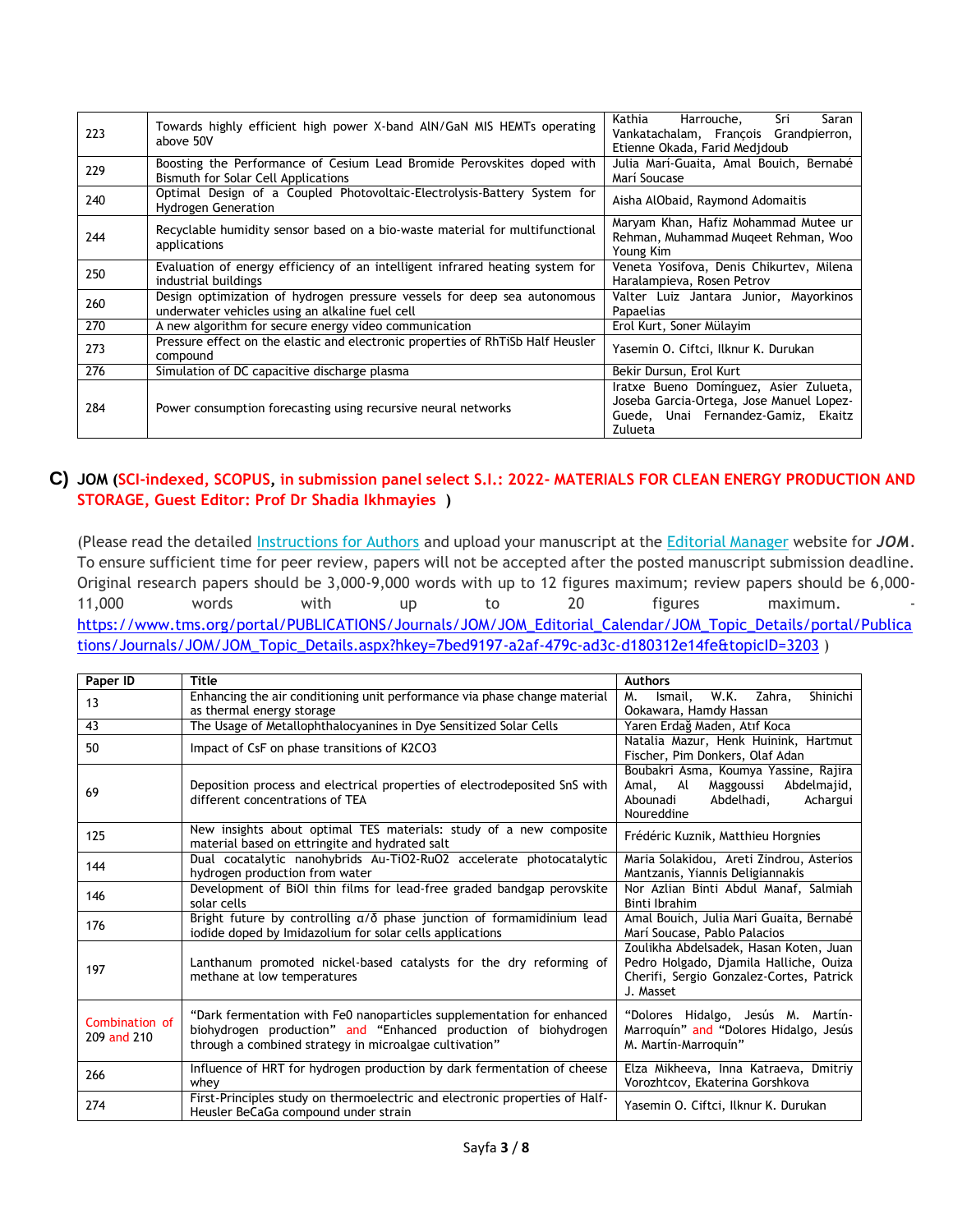| 223 | Towards highly efficient high power X-band AIN/GaN MIS HEMTs operating<br>above 50V                                         | Sri<br>Kathia<br>Harrouche,<br>Saran<br>Vankatachalam, Francois Grandpierron,<br>Etienne Okada, Farid Medidoub                       |
|-----|-----------------------------------------------------------------------------------------------------------------------------|--------------------------------------------------------------------------------------------------------------------------------------|
| 229 | Boosting the Performance of Cesium Lead Bromide Perovskites doped with<br>Bismuth for Solar Cell Applications               | Julia Marí-Guaita, Amal Bouich, Bernabé<br>Marí Soucase                                                                              |
| 240 | Optimal Design of a Coupled Photovoltaic-Electrolysis-Battery System for<br><b>Hydrogen Generation</b>                      | Aisha AlObaid, Raymond Adomaitis                                                                                                     |
| 244 | Recyclable humidity sensor based on a bio-waste material for multifunctional<br>applications                                | Maryam Khan, Hafiz Mohammad Mutee ur<br>Rehman, Muhammad Mugeet Rehman, Woo<br>Young Kim                                             |
| 250 | Evaluation of energy efficiency of an intelligent infrared heating system for<br>industrial buildings                       | Veneta Yosifova, Denis Chikurtev, Milena<br>Haralampieva, Rosen Petrov                                                               |
| 260 | Design optimization of hydrogen pressure vessels for deep sea autonomous<br>underwater vehicles using an alkaline fuel cell | Valter Luiz Jantara Junior, Mayorkinos<br>Papaelias                                                                                  |
| 270 | A new algorithm for secure energy video communication                                                                       | Erol Kurt, Soner Mülayim                                                                                                             |
| 273 | Pressure effect on the elastic and electronic properties of RhTiSb Half Heusler<br>compound                                 | Yasemin O. Ciftci, Ilknur K. Durukan                                                                                                 |
| 276 | Simulation of DC capacitive discharge plasma                                                                                | Bekir Dursun, Erol Kurt                                                                                                              |
| 284 | Power consumption forecasting using recursive neural networks                                                               | Iratxe Bueno Domínguez, Asier Zulueta,<br>Joseba Garcia-Ortega, Jose Manuel Lopez-<br>Guede, Unai Fernandez-Gamiz, Ekaitz<br>Zulueta |

### **C) JOM (SCI-indexed, SCOPUS, in submission panel select S.I.: 2022- MATERIALS FOR CLEAN ENERGY PRODUCTION AND STORAGE, Guest Editor: Prof Dr Shadia Ikhmayies )**

(Please read the detailed [Instructions for Authors](https://www.tms.org/AuthorTools) and upload your manuscript at the [Editorial Manager](https://www.editorialmanager.com/jomj/default.aspx) website for *JOM*. To ensure sufficient time for peer review, papers will not be accepted after the posted manuscript submission deadline. Original research papers should be 3,000-9,000 words with up to 12 figures maximum; review papers should be 6,000- 11,000 words with up to 20 figures maximum. [https://www.tms.org/portal/PUBLICATIONS/Journals/JOM/JOM\\_Editorial\\_Calendar/JOM\\_Topic\\_Details/portal/Publica](https://www.tms.org/portal/PUBLICATIONS/Journals/JOM/JOM_Editorial_Calendar/JOM_Topic_Details/portal/Publications/Journals/JOM/JOM_Topic_Details.aspx?hkey=7bed9197-a2af-479c-ad3c-d180312e14fe&topicID=3203) [tions/Journals/JOM/JOM\\_Topic\\_Details.aspx?hkey=7bed9197-a2af-479c-ad3c-d180312e14fe&topicID=3203](https://www.tms.org/portal/PUBLICATIONS/Journals/JOM/JOM_Editorial_Calendar/JOM_Topic_Details/portal/Publications/Journals/JOM/JOM_Topic_Details.aspx?hkey=7bed9197-a2af-479c-ad3c-d180312e14fe&topicID=3203) )

| Paper ID        | <b>Title</b>                                                                                                 | <b>Authors</b>                                                                     |
|-----------------|--------------------------------------------------------------------------------------------------------------|------------------------------------------------------------------------------------|
| 13              | Enhancing the air conditioning unit performance via phase change material                                    | W.K.<br>Shinichi<br>Zahra,<br>М.<br>Ismail,                                        |
|                 | as thermal energy storage                                                                                    | Ookawara, Hamdy Hassan                                                             |
| $\overline{43}$ | The Usage of Metallophthalocyanines in Dye Sensitized Solar Cells                                            | Yaren Erdağ Maden, Atıf Koca                                                       |
| 50              | Impact of CsF on phase transitions of K2CO3                                                                  | Natalia Mazur, Henk Huinink, Hartmut                                               |
|                 |                                                                                                              | Fischer, Pim Donkers, Olaf Adan                                                    |
|                 |                                                                                                              | Boubakri Asma, Koumya Yassine, Rajira                                              |
| 69              | Deposition process and electrical properties of electrodeposited SnS with<br>different concentrations of TEA | Abdelmajid,<br>Amal, Al<br>Maggoussi<br>Abdelhadi,<br>Achargui<br>Abounadi         |
|                 |                                                                                                              | Noureddine                                                                         |
|                 | New insights about optimal TES materials: study of a new composite                                           |                                                                                    |
| 125             | material based on ettringite and hydrated salt                                                               | Frédéric Kuznik, Matthieu Horgnies                                                 |
| 144             | Dual cocatalytic nanohybrids Au-TiO2-RuO2 accelerate photocatalytic                                          | Maria Solakidou, Areti Zindrou, Asterios                                           |
|                 | hydrogen production from water                                                                               | Mantzanis, Yiannis Deligiannakis                                                   |
| 146             | Development of BiOI thin films for lead-free graded bandgap perovskite                                       | Nor Azlian Binti Abdul Manaf, Salmiah                                              |
|                 | solar cells                                                                                                  | Binti Ibrahim                                                                      |
| 176             | Bright future by controlling $\alpha/\delta$ phase junction of formamidinium lead                            | Amal Bouich, Julia Mari Guaita, Bernabé                                            |
|                 | iodide doped by Imidazolium for solar cells applications                                                     | Marí Soucase, Pablo Palacios                                                       |
|                 |                                                                                                              | Zoulikha Abdelsadek, Hasan Koten, Juan                                             |
| 197             | Lanthanum promoted nickel-based catalysts for the dry reforming of<br>methane at low temperatures            | Pedro Holgado, Djamila Halliche, Ouiza<br>Cherifi, Sergio Gonzalez-Cortes, Patrick |
|                 |                                                                                                              | J. Masset                                                                          |
|                 |                                                                                                              |                                                                                    |
| Combination of  | "Dark fermentation with Fe0 nanoparticles supplementation for enhanced                                       | "Dolores Hidalgo, Jesús M. Martín-                                                 |
| 209 and 210     | biohydrogen production" and "Enhanced production of biohydrogen                                              | Marroquín" and "Dolores Hidalgo, Jesús                                             |
|                 | through a combined strategy in microalgae cultivation"                                                       | M. Martín-Marroquín"                                                               |
| 266             | Influence of HRT for hydrogen production by dark fermentation of cheese                                      | Elza Mikheeva, Inna Katraeva, Dmitriy                                              |
|                 | whev                                                                                                         | Vorozhtcov, Ekaterina Gorshkova                                                    |
| 274             | First-Principles study on thermoelectric and electronic properties of Half-                                  | Yasemin O. Ciftci, Ilknur K. Durukan                                               |
|                 | Heusler BeCaGa compound under strain                                                                         |                                                                                    |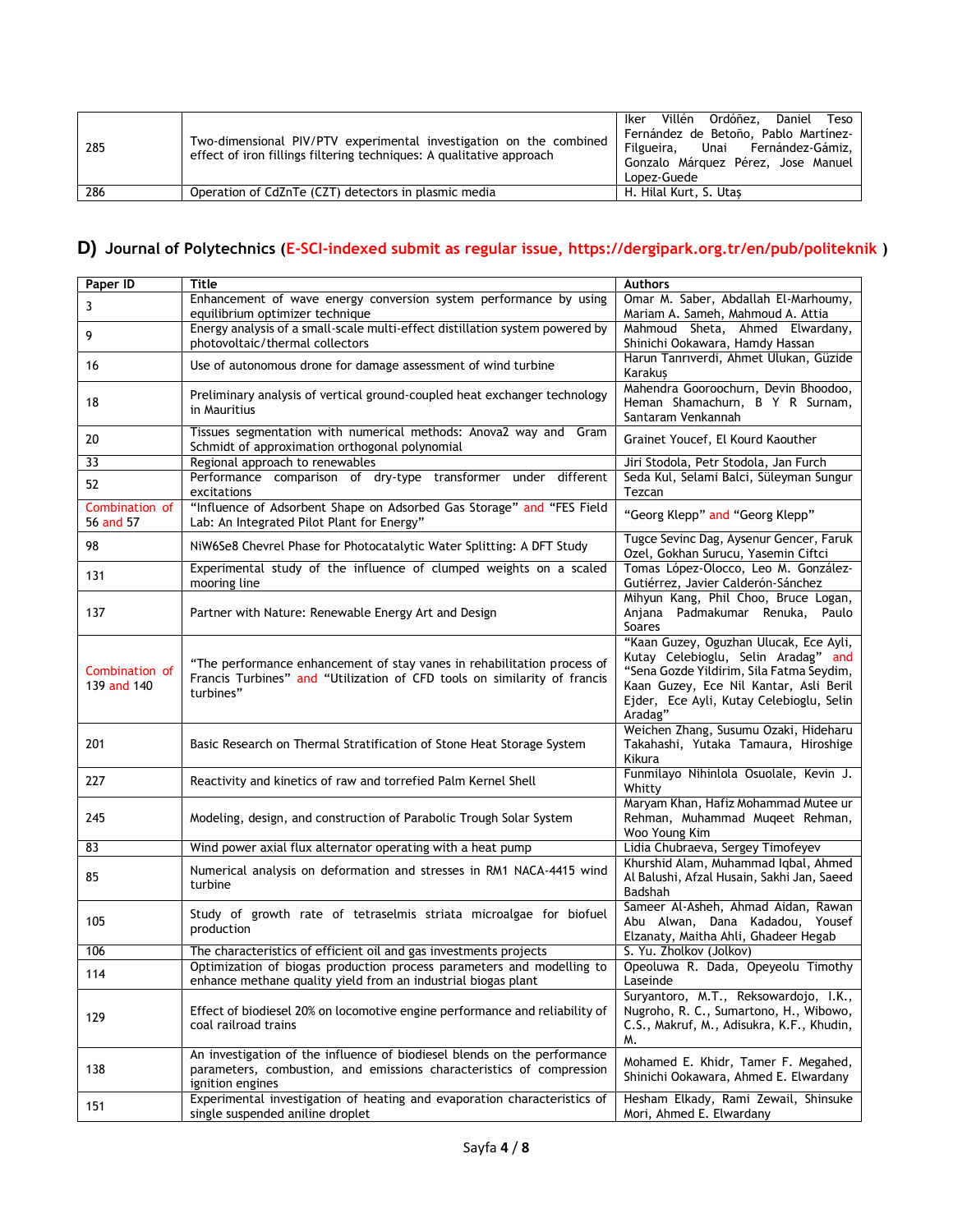| 285 | Two-dimensional PIV/PTV experimental investigation on the combined<br>effect of iron fillings filtering techniques: A qualitative approach | Iker Villén Ordóñez, Daniel Teso<br>Fernández de Betoño, Pablo Martínez-<br>Filgueira, Unai Fernández-Gámiz,<br>Gonzalo Márquez Pérez, Jose Manuel<br>Lopez-Guede |
|-----|--------------------------------------------------------------------------------------------------------------------------------------------|-------------------------------------------------------------------------------------------------------------------------------------------------------------------|
| 286 | Operation of CdZnTe (CZT) detectors in plasmic media                                                                                       | H. Hilal Kurt, S. Utas                                                                                                                                            |

## **D) Journal of Polytechnics (E-SCI-indexed submit as regular issue, https://dergipark.org.tr/en/pub/politeknik )**

| Paper ID                      | Title                                                                                                                                                                | <b>Authors</b>                                                                                                                                                                                                             |
|-------------------------------|----------------------------------------------------------------------------------------------------------------------------------------------------------------------|----------------------------------------------------------------------------------------------------------------------------------------------------------------------------------------------------------------------------|
| 3                             | Enhancement of wave energy conversion system performance by using<br>equilibrium optimizer technique                                                                 | Omar M. Saber, Abdallah El-Marhoumy,<br>Mariam A. Sameh, Mahmoud A. Attia                                                                                                                                                  |
| 9                             | Energy analysis of a small-scale multi-effect distillation system powered by<br>photovoltaic/thermal collectors                                                      | Mahmoud Sheta, Ahmed Elwardany,<br>Shinichi Ookawara, Hamdy Hassan                                                                                                                                                         |
| 16                            | Use of autonomous drone for damage assessment of wind turbine                                                                                                        | Harun Tanrıverdi, Ahmet Ulukan, Güzide<br>Karakuş                                                                                                                                                                          |
| 18                            | Preliminary analysis of vertical ground-coupled heat exchanger technology<br>in Mauritius                                                                            | Mahendra Gooroochurn, Devin Bhoodoo,<br>Heman Shamachurn, B Y R Surnam,<br>Santaram Venkannah                                                                                                                              |
| 20                            | Tissues segmentation with numerical methods: Anova2 way and Gram<br>Schmidt of approximation orthogonal polynomial                                                   | Grainet Youcef, El Kourd Kaouther                                                                                                                                                                                          |
| 33                            | Regional approach to renewables                                                                                                                                      | Jiri Stodola, Petr Stodola, Jan Furch                                                                                                                                                                                      |
| 52                            | Performance comparison of dry-type transformer under different<br>excitations                                                                                        | Seda Kul, Selami Balci, Süleyman Sungur<br>Tezcan                                                                                                                                                                          |
| Combination of<br>56 and 57   | "Influence of Adsorbent Shape on Adsorbed Gas Storage" and "FES Field<br>Lab: An Integrated Pilot Plant for Energy"                                                  | "Georg Klepp" and "Georg Klepp"                                                                                                                                                                                            |
| 98                            | NiW6Se8 Chevrel Phase for Photocatalytic Water Splitting: A DFT Study                                                                                                | Tugce Sevinc Dag, Aysenur Gencer, Faruk<br>Ozel, Gokhan Surucu, Yasemin Ciftci                                                                                                                                             |
| 131                           | Experimental study of the influence of clumped weights on a scaled<br>mooring line                                                                                   | Tomas López-Olocco, Leo M. González-<br>Gutiérrez, Javier Calderón-Sánchez                                                                                                                                                 |
| 137                           | Partner with Nature: Renewable Energy Art and Design                                                                                                                 | Mihyun Kang, Phil Choo, Bruce Logan,<br>Anjana Padmakumar Renuka, Paulo<br><b>Soares</b>                                                                                                                                   |
| Combination of<br>139 and 140 | "The performance enhancement of stay vanes in rehabilitation process of<br>Francis Turbines" and "Utilization of CFD tools on similarity of francis<br>turbines"     | "Kaan Guzey, Oguzhan Ulucak, Ece Ayli,<br>Kutay Celebioglu, Selin Aradag" and<br>"Sena Gozde Yildirim, Sila Fatma Seydim,<br>Kaan Guzey, Ece Nil Kantar, Asli Beril<br>Ejder, Ece Ayli, Kutay Celebioglu, Selin<br>Aradag" |
| 201                           | Basic Research on Thermal Stratification of Stone Heat Storage System                                                                                                | Weichen Zhang, Susumu Ozaki, Hideharu<br>Takahashi, Yutaka Tamaura, Hiroshige<br>Kikura                                                                                                                                    |
| 227                           | Reactivity and kinetics of raw and torrefied Palm Kernel Shell                                                                                                       | Funmilayo Nihinlola Osuolale, Kevin J.<br>Whitty                                                                                                                                                                           |
| 245                           | Modeling, design, and construction of Parabolic Trough Solar System                                                                                                  | Maryam Khan, Hafiz Mohammad Mutee ur<br>Rehman, Muhammad Muqeet Rehman,<br>Woo Young Kim                                                                                                                                   |
| 83                            | Wind power axial flux alternator operating with a heat pump                                                                                                          | Lidia Chubraeva, Sergey Timofeyev                                                                                                                                                                                          |
| 85                            | Numerical analysis on deformation and stresses in RM1 NACA-4415 wind<br>turbine                                                                                      | Khurshid Alam, Muhammad Iqbal, Ahmed<br>Al Balushi, Afzal Husain, Sakhi Jan, Saeed<br>Badshah                                                                                                                              |
| 105                           | Study of growth rate of tetraselmis striata microalgae for biofuel<br>production                                                                                     | Sameer Al-Asheh, Ahmad Aidan, Rawan<br>Abu Alwan, Dana Kadadou, Yousef<br>Elzanaty, Maitha Ahli, Ghadeer Hegab                                                                                                             |
| 106                           | The characteristics of efficient oil and gas investments projects                                                                                                    | S. Yu. Zholkov (Jolkov)                                                                                                                                                                                                    |
| 114                           | Optimization of biogas production process parameters and modelling to<br>enhance methane quality yield from an industrial biogas plant                               | Opeoluwa R. Dada, Opeyeolu Timothy<br>Laseinde                                                                                                                                                                             |
| 129                           | Effect of biodiesel 20% on locomotive engine performance and reliability of<br>coal railroad trains                                                                  | Suryantoro, M.T., Reksowardojo, I.K.,<br>Nugroho, R. C., Sumartono, H., Wibowo,<br>C.S., Makruf, M., Adisukra, K.F., Khudin,<br>M.                                                                                         |
| 138                           | An investigation of the influence of biodiesel blends on the performance<br>parameters, combustion, and emissions characteristics of compression<br>ignition engines | Mohamed E. Khidr, Tamer F. Megahed,<br>Shinichi Ookawara, Ahmed E. Elwardany                                                                                                                                               |
| 151                           | Experimental investigation of heating and evaporation characteristics of<br>single suspended aniline droplet                                                         | Hesham Elkady, Rami Zewail, Shinsuke<br>Mori, Ahmed E. Elwardany                                                                                                                                                           |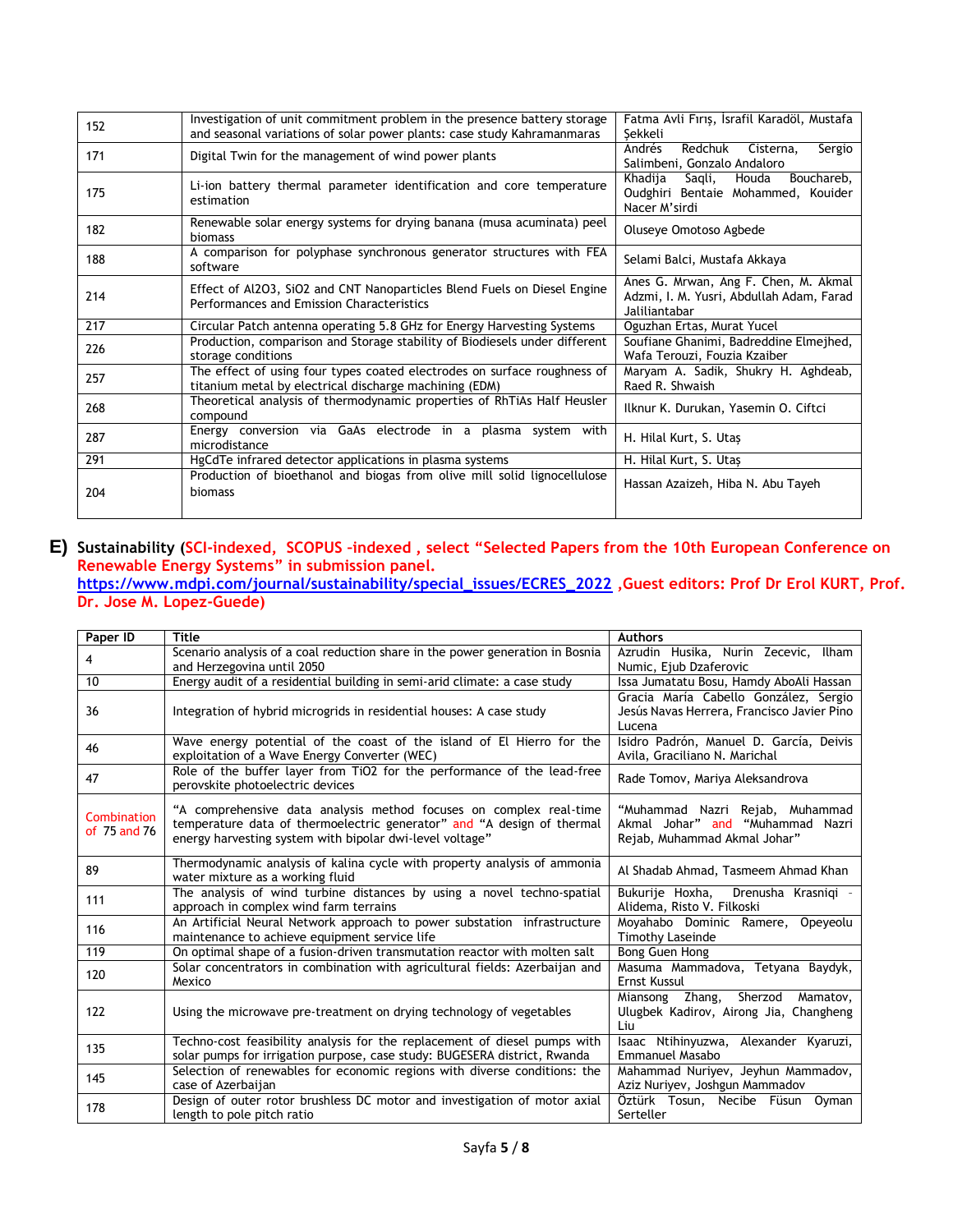| 152 | Investigation of unit commitment problem in the presence battery storage<br>and seasonal variations of solar power plants: case study Kahramanmaras | Fatma Avli Fırıs, İsrafil Karadöl, Mustafa<br>Sekkeli                                             |
|-----|-----------------------------------------------------------------------------------------------------------------------------------------------------|---------------------------------------------------------------------------------------------------|
| 171 | Digital Twin for the management of wind power plants                                                                                                | Redchuk<br>Andrés<br>Cisterna,<br>Sergio<br>Salimbeni, Gonzalo Andaloro                           |
| 175 | Li-ion battery thermal parameter identification and core temperature<br>estimation                                                                  | Khadija<br>Saqli,<br>Houda<br>Bouchareb,<br>Oudghiri Bentaie Mohammed, Kouider<br>Nacer M'sirdi   |
| 182 | Renewable solar energy systems for drying banana (musa acuminata) peel<br>biomass                                                                   | Oluseye Omotoso Agbede                                                                            |
| 188 | A comparison for polyphase synchronous generator structures with FEA<br>software                                                                    | Selami Balci, Mustafa Akkaya                                                                      |
| 214 | Effect of Al2O3, SiO2 and CNT Nanoparticles Blend Fuels on Diesel Engine<br>Performances and Emission Characteristics                               | Anes G. Mrwan, Ang F. Chen, M. Akmal<br>Adzmi, I. M. Yusri, Abdullah Adam, Farad<br>Jaliliantabar |
| 217 | Circular Patch antenna operating 5.8 GHz for Energy Harvesting Systems                                                                              | Oguzhan Ertas, Murat Yucel                                                                        |
| 226 | Production, comparison and Storage stability of Biodiesels under different<br>storage conditions                                                    | Soufiane Ghanimi, Badreddine Elmejhed,<br>Wafa Terouzi, Fouzia Kzaiber                            |
| 257 | The effect of using four types coated electrodes on surface roughness of<br>titanium metal by electrical discharge machining (EDM)                  | Maryam A. Sadik, Shukry H. Aghdeab,<br>Raed R. Shwaish                                            |
| 268 | Theoretical analysis of thermodynamic properties of RhTiAs Half Heusler<br>compound                                                                 | Ilknur K. Durukan, Yasemin O. Ciftci                                                              |
| 287 | Energy conversion via GaAs electrode in a plasma system with<br>microdistance                                                                       | H. Hilal Kurt, S. Utas                                                                            |
| 291 | HgCdTe infrared detector applications in plasma systems                                                                                             | H. Hilal Kurt, S. Utas                                                                            |
| 204 | Production of bioethanol and biogas from olive mill solid lignocellulose<br>biomass                                                                 | Hassan Azaizeh, Hiba N. Abu Tayeh                                                                 |

#### **E) Sustainability (SCI-indexed, SCOPUS –indexed , select "Selected Papers from the 10th European Conference on Renewable Energy Systems" in submission panel. [https://www.mdpi.com/journal/sustainability/special\\_issues/ECRES\\_2022](https://www.mdpi.com/journal/sustainability/special_issues/ECRES_2022) ,Guest editors: Prof Dr Erol KURT, Prof.**

**Dr. Jose M. Lopez-Guede)**

| Paper ID                    | <b>Title</b>                                                                                                                                                                                             | <b>Authors</b>                                                                                      |
|-----------------------------|----------------------------------------------------------------------------------------------------------------------------------------------------------------------------------------------------------|-----------------------------------------------------------------------------------------------------|
| 4                           | Scenario analysis of a coal reduction share in the power generation in Bosnia<br>and Herzegovina until 2050                                                                                              | Azrudin Husika, Nurin Zecevic, Ilham<br>Numic, Ejub Dzaferovic                                      |
| 10                          | Energy audit of a residential building in semi-arid climate: a case study                                                                                                                                | Issa Jumatatu Bosu, Hamdy AboAli Hassan                                                             |
| 36                          | Integration of hybrid microgrids in residential houses: A case study                                                                                                                                     | Gracia María Cabello González, Sergio<br>Jesús Navas Herrera, Francisco Javier Pino<br>Lucena       |
| 46                          | Wave energy potential of the coast of the island of El Hierro for the<br>exploitation of a Wave Energy Converter (WEC)                                                                                   | Isidro Padrón, Manuel D. García, Deivis<br>Avila, Graciliano N. Marichal                            |
| 47                          | Role of the buffer layer from TiO2 for the performance of the lead-free<br>perovskite photoelectric devices                                                                                              | Rade Tomov, Mariya Aleksandrova                                                                     |
| Combination<br>of 75 and 76 | "A comprehensive data analysis method focuses on complex real-time<br>temperature data of thermoelectric generator" and "A design of thermal<br>energy harvesting system with bipolar dwi-level voltage" | "Muhammad Nazri Rejab, Muhammad<br>Akmal Johar" and "Muhammad Nazri<br>Rejab, Muhammad Akmal Johar" |
| 89                          | Thermodynamic analysis of kalina cycle with property analysis of ammonia<br>water mixture as a working fluid                                                                                             | Al Shadab Ahmad, Tasmeem Ahmad Khan                                                                 |
| 111                         | The analysis of wind turbine distances by using a novel techno-spatial<br>approach in complex wind farm terrains                                                                                         | Bukurije Hoxha, Drenusha Krasniqi -<br>Alidema, Risto V. Filkoski                                   |
| 116                         | An Artificial Neural Network approach to power substation infrastructure<br>maintenance to achieve equipment service life                                                                                | Moyahabo Dominic Ramere, Opeyeolu<br><b>Timothy Laseinde</b>                                        |
| 119                         | On optimal shape of a fusion-driven transmutation reactor with molten salt                                                                                                                               | Bong Guen Hong                                                                                      |
| 120                         | Solar concentrators in combination with agricultural fields: Azerbaijan and<br>Mexico                                                                                                                    | Masuma Mammadova, Tetyana Baydyk,<br><b>Ernst Kussul</b>                                            |
| 122                         | Using the microwave pre-treatment on drying technology of vegetables                                                                                                                                     | Miansong Zhang, Sherzod Mamatov,<br>Ulugbek Kadirov, Airong Jia, Changheng<br>Liu                   |
| 135                         | Techno-cost feasibility analysis for the replacement of diesel pumps with<br>solar pumps for irrigation purpose, case study: BUGESERA district, Rwanda                                                   | Isaac Ntihinyuzwa, Alexander Kyaruzi,<br>Emmanuel Masabo                                            |
| 145                         | Selection of renewables for economic regions with diverse conditions: the<br>case of Azerbaijan                                                                                                          | Mahammad Nuriyev, Jeyhun Mammadov,<br>Aziz Nuriyev, Joshgun Mammadov                                |
| 178                         | Design of outer rotor brushless DC motor and investigation of motor axial<br>length to pole pitch ratio                                                                                                  | Öztürk Tosun, Necibe Füsun Oyman<br>Serteller                                                       |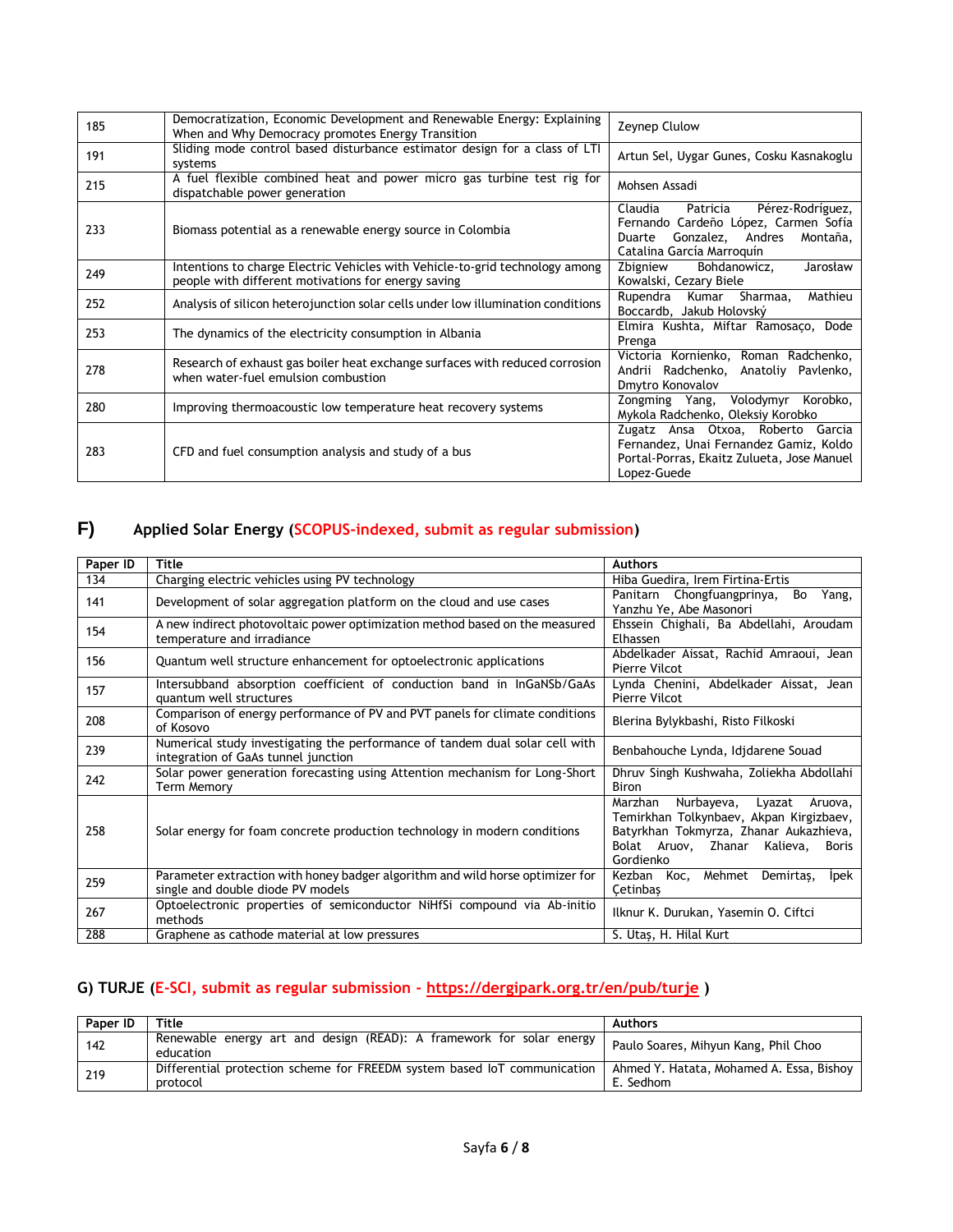| 185 | Democratization, Economic Development and Renewable Energy: Explaining<br>When and Why Democracy promotes Energy Transition         | Zeynep Clulow                                                                                                                                       |
|-----|-------------------------------------------------------------------------------------------------------------------------------------|-----------------------------------------------------------------------------------------------------------------------------------------------------|
| 191 | Sliding mode control based disturbance estimator design for a class of LTI<br>systems                                               | Artun Sel, Uygar Gunes, Cosku Kasnakoglu                                                                                                            |
| 215 | A fuel flexible combined heat and power micro gas turbine test rig for<br>dispatchable power generation                             | Mohsen Assadi                                                                                                                                       |
| 233 | Biomass potential as a renewable energy source in Colombia                                                                          | Pérez-Rodríguez,<br>Claudia<br>Patricia<br>Fernando Cardeño López, Carmen Sofía<br>Duarte Gonzalez, Andres<br>Montaña,<br>Catalina García Marroquín |
| 249 | Intentions to charge Electric Vehicles with Vehicle-to-grid technology among<br>people with different motivations for energy saving | Bohdanowicz,<br>Zbigniew<br>Jarosław<br>Kowalski, Cezary Biele                                                                                      |
| 252 | Analysis of silicon heterojunction solar cells under low illumination conditions                                                    | Mathieu<br>Rupendra Kumar<br>Sharmaa,<br>Boccardb, Jakub Holovský                                                                                   |
| 253 | The dynamics of the electricity consumption in Albania                                                                              | Elmira Kushta, Miftar Ramosaço, Dode<br>Prenga                                                                                                      |
| 278 | Research of exhaust gas boiler heat exchange surfaces with reduced corrosion<br>when water-fuel emulsion combustion                 | Victoria Kornienko, Roman Radchenko,<br>Andrii Radchenko, Anatoliy Pavlenko,<br>Dmytro Konovalov                                                    |
| 280 | Improving thermoacoustic low temperature heat recovery systems                                                                      | Zongming Yang, Volodymyr Korobko,<br>Mykola Radchenko, Oleksiy Korobko                                                                              |
| 283 | CFD and fuel consumption analysis and study of a bus                                                                                | Zugatz Ansa Otxoa, Roberto Garcia<br>Fernandez, Unai Fernandez Gamiz, Koldo<br>Portal-Porras, Ekaitz Zulueta, Jose Manuel<br>Lopez-Guede            |

## **F) [Applied Solar Energy \(](http://onlinelibrary.wiley.com/journal/10.1002/%28ISSN%291099-047X)SCOPUS-indexed, submit as regular submission)**

| Paper ID | <b>Title</b>                                                                                                        | <b>Authors</b>                                                                                                                                                                               |
|----------|---------------------------------------------------------------------------------------------------------------------|----------------------------------------------------------------------------------------------------------------------------------------------------------------------------------------------|
| 134      | Charging electric vehicles using PV technology                                                                      | Hiba Guedira, Irem Firtina-Ertis                                                                                                                                                             |
| 141      | Development of solar aggregation platform on the cloud and use cases                                                | Panitarn Chongfuangprinya,<br>Bo<br>Yang,<br>Yanzhu Ye, Abe Masonori                                                                                                                         |
| 154      | A new indirect photovoltaic power optimization method based on the measured<br>temperature and irradiance           | Ehssein Chighali, Ba Abdellahi, Aroudam<br>Elhassen                                                                                                                                          |
| 156      | Quantum well structure enhancement for optoelectronic applications                                                  | Abdelkader Aissat, Rachid Amraoui, Jean<br>Pierre Vilcot                                                                                                                                     |
| 157      | Intersubband absorption coefficient of conduction band in InGaNSb/GaAs<br>quantum well structures                   | Lynda Chenini, Abdelkader Aissat, Jean<br>Pierre Vilcot                                                                                                                                      |
| 208      | Comparison of energy performance of PV and PVT panels for climate conditions<br>of Kosovo                           | Blerina Bylykbashi, Risto Filkoski                                                                                                                                                           |
| 239      | Numerical study investigating the performance of tandem dual solar cell with<br>integration of GaAs tunnel junction | Benbahouche Lynda, Idjdarene Souad                                                                                                                                                           |
| 242      | Solar power generation forecasting using Attention mechanism for Long-Short<br><b>Term Memory</b>                   | Dhruv Singh Kushwaha, Zoliekha Abdollahi<br>Biron                                                                                                                                            |
| 258      | Solar energy for foam concrete production technology in modern conditions                                           | Nurbayeva,<br>Marzhan<br>Lyazat<br>Aruova,<br>Temirkhan Tolkynbaev, Akpan Kirgizbaev,<br>Batyrkhan Tokmyrza, Zhanar Aukazhieva,<br>Bolat Aruov, Zhanar Kalieva,<br><b>Boris</b><br>Gordienko |
| 259      | Parameter extraction with honey badger algorithm and wild horse optimizer for<br>single and double diode PV models  | Kezban Koc, Mehmet<br>Demirtas,<br><b>lpek</b><br>Cetinbas                                                                                                                                   |
| 267      | Optoelectronic properties of semiconductor NiHfSi compound via Ab-initio<br>methods                                 | Ilknur K. Durukan, Yasemin O. Ciftci                                                                                                                                                         |
| 288      | Graphene as cathode material at low pressures                                                                       | S. Utaş, H. Hilal Kurt                                                                                                                                                                       |

## **G) TURJE (E-SCI, submit as regular submission - <https://dergipark.org.tr/en/pub/turje> )**

| Paper ID | Title                                                                                | <b>Authors</b>                                        |
|----------|--------------------------------------------------------------------------------------|-------------------------------------------------------|
| 142      | Renewable energy art and design (READ): A framework for solar energy<br>education    | Paulo Soares, Mihyun Kang, Phil Choo                  |
| 219      | Differential protection scheme for FREEDM system based IoT communication<br>protocol | Ahmed Y. Hatata, Mohamed A. Essa, Bishoy<br>E. Sedhom |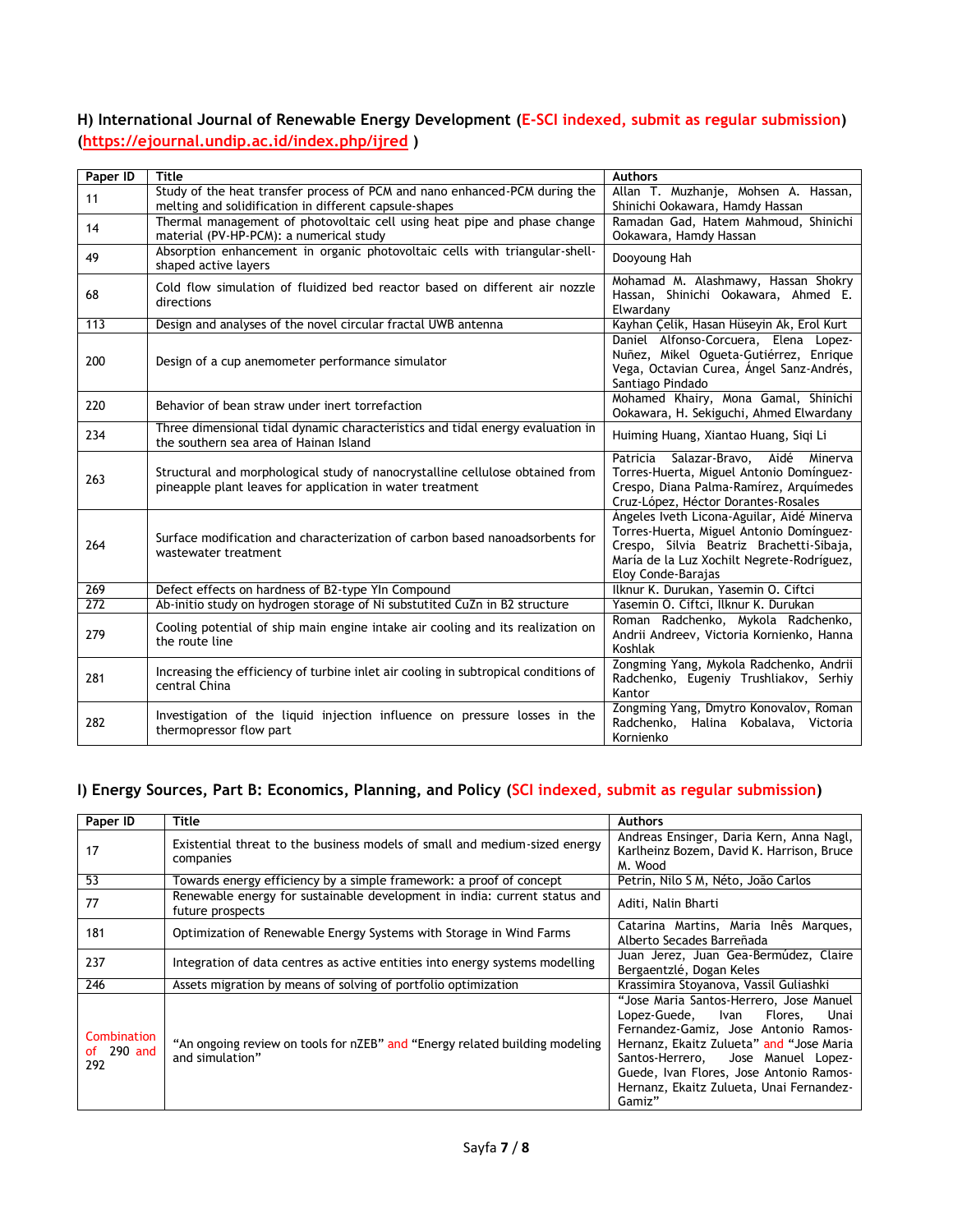### **H) International Journal of Renewable Energy Development (E-SCI indexed, submit as regular submission) [\(https://ejournal.undip.ac.id/index.php/ijred](https://ejournal.undip.ac.id/index.php/ijred) )**

| Paper ID         | <b>Title</b>                                                                                                                               | <b>Authors</b>                                                                                                                                                                                         |
|------------------|--------------------------------------------------------------------------------------------------------------------------------------------|--------------------------------------------------------------------------------------------------------------------------------------------------------------------------------------------------------|
| 11               | Study of the heat transfer process of PCM and nano enhanced-PCM during the<br>melting and solidification in different capsule-shapes       | Allan T. Muzhanje, Mohsen A. Hassan,<br>Shinichi Ookawara, Hamdy Hassan                                                                                                                                |
| 14               | Thermal management of photovoltaic cell using heat pipe and phase change<br>material (PV-HP-PCM): a numerical study                        | Ramadan Gad, Hatem Mahmoud, Shinichi<br>Ookawara, Hamdy Hassan                                                                                                                                         |
| 49               | Absorption enhancement in organic photovoltaic cells with triangular-shell-<br>shaped active layers                                        | Dooyoung Hah                                                                                                                                                                                           |
| 68               | Cold flow simulation of fluidized bed reactor based on different air nozzle<br>directions                                                  | Mohamad M. Alashmawy, Hassan Shokry<br>Hassan, Shinichi Ookawara, Ahmed E.<br>Elwardany                                                                                                                |
| 113              | Design and analyses of the novel circular fractal UWB antenna                                                                              | Kayhan Çelik, Hasan Hüseyin Ak, Erol Kurt                                                                                                                                                              |
| 200              | Design of a cup anemometer performance simulator                                                                                           | Daniel Alfonso-Corcuera, Elena Lopez-<br>Nuñez, Mikel Ogueta-Gutiérrez, Enrique<br>Vega, Octavian Curea, Ángel Sanz-Andrés,<br>Santiago Pindado                                                        |
| 220              | Behavior of bean straw under inert torrefaction                                                                                            | Mohamed Khairy, Mona Gamal, Shinichi<br>Ookawara, H. Sekiguchi, Ahmed Elwardany                                                                                                                        |
| 234              | Three dimensional tidal dynamic characteristics and tidal energy evaluation in<br>the southern sea area of Hainan Island                   | Huiming Huang, Xiantao Huang, Sigi Li                                                                                                                                                                  |
| 263              | Structural and morphological study of nanocrystalline cellulose obtained from<br>pineapple plant leaves for application in water treatment | Patricia Salazar-Bravo,<br>Aidé Minerva<br>Torres-Huerta, Miguel Antonio Domínguez-<br>Crespo, Diana Palma-Ramírez, Arquímedes<br>Cruz-López, Héctor Dorantes-Rosales                                  |
| 264              | Surface modification and characterization of carbon based nanoadsorbents for<br>wastewater treatment                                       | Ángeles Iveth Licona-Aguilar, Aidé Minerva<br>Torres-Huerta, Miguel Antonio Domínguez-<br>Crespo, Silvia Beatriz Brachetti-Sibaja,<br>María de la Luz Xochilt Negrete-Rodríguez,<br>Eloy Conde-Barajas |
| 269              | Defect effects on hardness of B2-type YIn Compound                                                                                         | Ilknur K. Durukan, Yasemin O. Ciftci                                                                                                                                                                   |
| $\overline{272}$ | Ab-initio study on hydrogen storage of Ni substutited CuZn in B2 structure                                                                 | Yasemin O. Ciftci, Ilknur K. Durukan                                                                                                                                                                   |
| 279              | Cooling potential of ship main engine intake air cooling and its realization on<br>the route line                                          | Roman Radchenko, Mykola Radchenko,<br>Andrii Andreev, Victoria Kornienko, Hanna<br>Koshlak                                                                                                             |
| 281              | Increasing the efficiency of turbine inlet air cooling in subtropical conditions of<br>central China                                       | Zongming Yang, Mykola Radchenko, Andrii<br>Radchenko, Eugeniy Trushliakov, Serhiy<br>Kantor                                                                                                            |
| 282              | Investigation of the liquid injection influence on pressure losses in the<br>thermopressor flow part                                       | Zongming Yang, Dmytro Konovalov, Roman<br>Radchenko,<br>Halina Kobalava, Victoria<br>Kornienko                                                                                                         |

### **I) [Energy Sources, Part B: Economics, Planning, and Policy](https://www.tandfonline.com/toc/uesb20/current) (SCI indexed, submit as regular submission)**

| Paper ID                         | Title                                                                                          | <b>Authors</b>                                                                                                                                                                                                                                                                                             |
|----------------------------------|------------------------------------------------------------------------------------------------|------------------------------------------------------------------------------------------------------------------------------------------------------------------------------------------------------------------------------------------------------------------------------------------------------------|
| 17                               | Existential threat to the business models of small and medium-sized energy<br>companies        | Andreas Ensinger, Daria Kern, Anna Nagl,<br>Karlheinz Bozem, David K. Harrison, Bruce<br>M. Wood                                                                                                                                                                                                           |
| 53                               | Towards energy efficiency by a simple framework: a proof of concept                            | Petrin, Nilo S M, Néto, João Carlos                                                                                                                                                                                                                                                                        |
| 77                               | Renewable energy for sustainable development in india: current status and<br>future prospects  | Aditi, Nalin Bharti                                                                                                                                                                                                                                                                                        |
| 181                              | Optimization of Renewable Energy Systems with Storage in Wind Farms                            | Catarina Martins, Maria Inês Marques,<br>Alberto Secades Barreñada                                                                                                                                                                                                                                         |
| 237                              | Integration of data centres as active entities into energy systems modelling                   | Juan Jerez, Juan Gea-Bermúdez, Claire<br>Bergaentzlé, Dogan Keles                                                                                                                                                                                                                                          |
| 246                              | Assets migration by means of solving of portfolio optimization                                 | Krassimira Stoyanova, Vassil Guliashki                                                                                                                                                                                                                                                                     |
| Combination<br>of 290 and<br>292 | "An ongoing review on tools for nZEB" and "Energy related building modeling<br>and simulation" | "Jose Maria Santos-Herrero, Jose Manuel<br>Lopez-Guede, Ivan<br>Flores,<br>Unai<br>Fernandez-Gamiz, Jose Antonio Ramos-<br>Hernanz, Ekaitz Zulueta" and "Jose Maria<br>Santos-Herrero, Jose Manuel Lopez-<br>Guede, Ivan Flores, Jose Antonio Ramos-<br>Hernanz, Ekaitz Zulueta, Unai Fernandez-<br>Gamiz" |